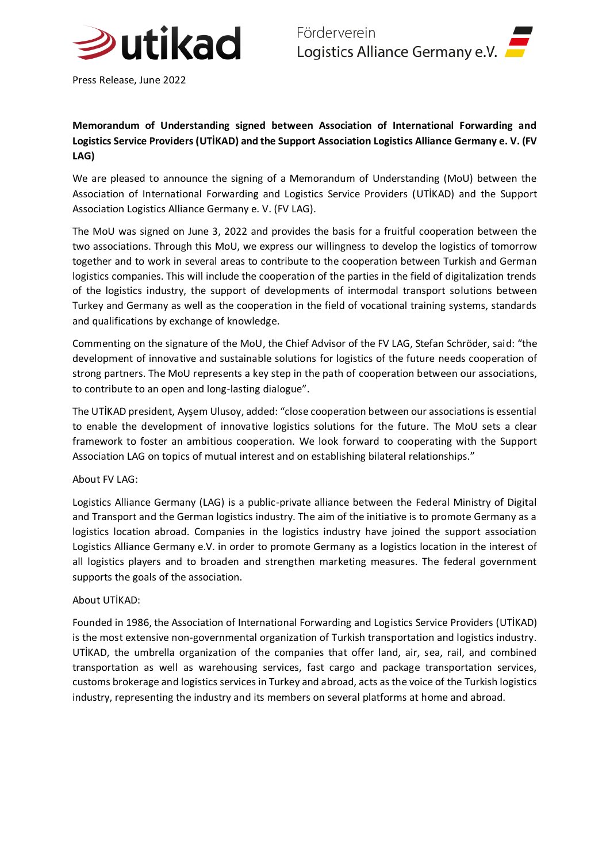

Press Release, June 2022

## **Memorandum of Understanding signed between Association of International Forwarding and Logistics Service Providers (UTİKAD) and the Support Association Logistics Alliance Germany e. V. (FV LAG)**

We are pleased to announce the signing of a Memorandum of Understanding (MoU) between the Association of International Forwarding and Logistics Service Providers (UTİKAD) and the Support Association Logistics Alliance Germany e. V. (FV LAG).

The MoU was signed on June 3, 2022 and provides the basis for a fruitful cooperation between the two associations. Through this MoU, we express our willingness to develop the logistics of tomorrow together and to work in several areas to contribute to the cooperation between Turkish and German logistics companies. This will include the cooperation of the parties in the field of digitalization trends of the logistics industry, the support of developments of intermodal transport solutions between Turkey and Germany as well as the cooperation in the field of vocational training systems, standards and qualifications by exchange of knowledge.

Commenting on the signature of the MoU, the Chief Advisor of the FV LAG, Stefan Schröder, said: "the development of innovative and sustainable solutions for logistics of the future needs cooperation of strong partners. The MoU represents a key step in the path of cooperation between our associations, to contribute to an open and long-lasting dialogue".

The UTİKAD president, Ayşem Ulusoy, added: "close cooperation between our associations is essential to enable the development of innovative logistics solutions for the future. The MoU sets a clear framework to foster an ambitious cooperation. We look forward to cooperating with the Support Association LAG on topics of mutual interest and on establishing bilateral relationships."

## About FV LAG:

Logistics Alliance Germany (LAG) is a public-private alliance between the Federal Ministry of Digital and Transport and the German logistics industry. The aim of the initiative is to promote Germany as a logistics location abroad. Companies in the logistics industry have joined the support association Logistics Alliance Germany e.V. in order to promote Germany as a logistics location in the interest of all logistics players and to broaden and strengthen marketing measures. The federal government supports the goals of the association.

## About UTİKAD:

Founded in 1986, the Association of International Forwarding and Logistics Service Providers (UTİKAD) is the most extensive non-governmental organization of Turkish transportation and logistics industry. UTİKAD, the umbrella organization of the companies that offer land, air, sea, rail, and combined transportation as well as warehousing services, fast cargo and package transportation services, customs brokerage and logistics services in Turkey and abroad, acts as the voice of the Turkish logistics industry, representing the industry and its members on several platforms at home and abroad.